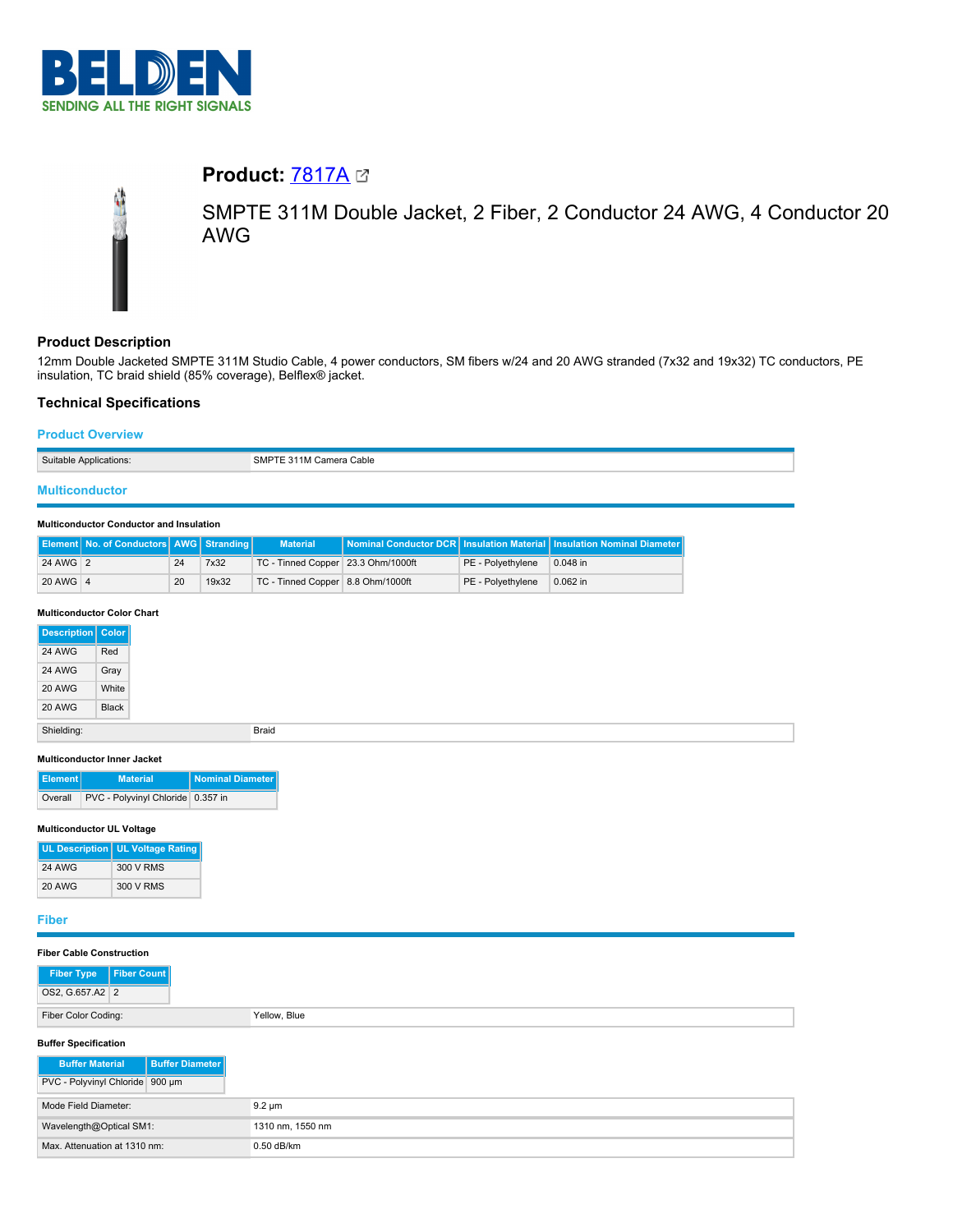

# **Product:** [7817A](https://catalog.belden.com/index.cfm?event=pd&p=PF_7817A&tab=downloads)



SMPTE 311M Double Jacket, 2 Fiber, 2 Conductor 24 AWG, 4 Conductor 20 AWG

# **Product Description**

12mm Double Jacketed SMPTE 311M Studio Cable, 4 power conductors, SM fibers w/24 and 20 AWG stranded (7x32 and 19x32) TC conductors, PE insulation, TC braid shield (85% coverage), Belflex® jacket.

# **Technical Specifications**

## **Product Overview**

| Suitable Applications: | SMPTE 311M Camera Cable |
|------------------------|-------------------------|
|                        |                         |

# **Multiconductor**

#### **Multiconductor Conductor and Insulation**

|          | Element No. of Conductors AWG Stranding |    |       | <b>Material</b>                    |                   | Nominal Conductor DCR   Insulation Material   Insulation Nominal Diameter |
|----------|-----------------------------------------|----|-------|------------------------------------|-------------------|---------------------------------------------------------------------------|
| 24 AWG 2 |                                         | 24 | 7x32  | TC - Tinned Copper 23.3 Ohm/1000ft | PE - Polvethvlene | 0.048 in                                                                  |
| 20 AWG 4 |                                         | 20 | 19x32 | TC - Tinned Copper 8.8 Ohm/1000ft  | PE - Polyethylene | 0.062 in                                                                  |

### **Multiconductor Color Chart**

| <b>Description</b> Color |       |
|--------------------------|-------|
| 24 AWG                   | Red   |
| 24 AWG                   | Gray  |
| 20 AWG                   | White |
| 20 AWG                   | Black |
| Shielding:               |       |

#### **Multiconductor Inner Jacket**

| Element | <b>Material</b>                   | Nominal Diameter |
|---------|-----------------------------------|------------------|
| Overall | PVC - Polyvinyl Chloride 0.357 in |                  |

## **Multiconductor UL Voltage**

|               | UL Description   UL Voltage Rating |
|---------------|------------------------------------|
| <b>24 AWG</b> | 300 V RMS                          |
| <b>20 AWG</b> | 300 V RMS                          |

## **Fiber**

| <b>Fiber Cable Construction</b>                  |                  |
|--------------------------------------------------|------------------|
| <b>Fiber Count</b><br><b>Fiber Type</b>          |                  |
| OS2, G.657.A2 2                                  |                  |
| Fiber Color Coding:                              | Yellow, Blue     |
| <b>Buffer Specification</b>                      |                  |
| <b>Buffer Diameter</b><br><b>Buffer Material</b> |                  |
| PVC - Polyvinyl Chloride 900 um                  |                  |
| Mode Field Diameter:                             | $9.2 \mu m$      |
| Wavelength@Optical SM1:                          | 1310 nm, 1550 nm |
| Max. Attenuation at 1310 nm:                     | 0.50 dB/km       |